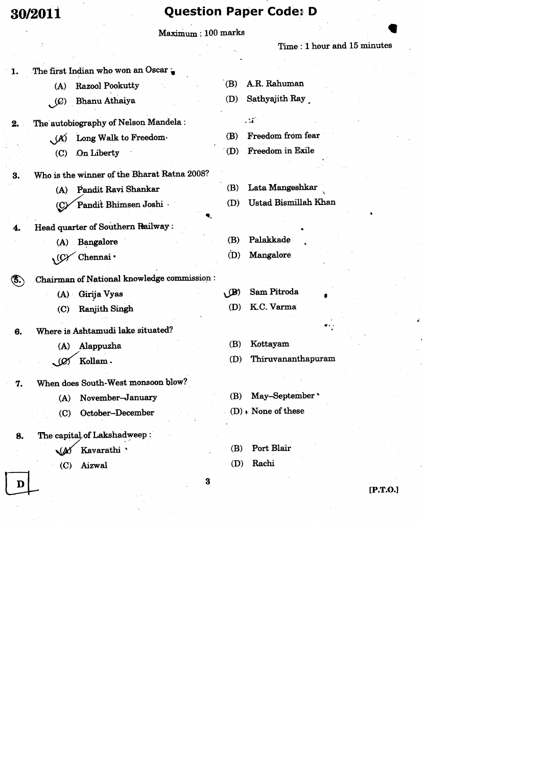# **Question Paper Code: D**

|       | 30/ZU11                    |                                             |                           | Ancarioli Lahai Conci D     |
|-------|----------------------------|---------------------------------------------|---------------------------|-----------------------------|
|       |                            | Maximum: 100 marks                          |                           |                             |
|       |                            |                                             |                           | Time: 1 hour and 15 minutes |
| 1.    |                            | The first Indian who won an Oscar           |                           |                             |
|       | (A)                        | Razool Pookutty                             | (B)                       | A.R. Rahuman                |
|       | $\mathcal{L}(\mathcal{Q})$ | Bhanu Athaiya                               | (D)                       | Sathyajith Ray              |
| 2.    |                            | The autobiography of Nelson Mandela:        |                           | $\mathcal{M}$               |
|       | $\mathcal{A}$              | Long Walk to Freedom.                       | (B)                       | Freedom from fear           |
|       | (C)                        | On Liberty                                  | (D)                       | Freedom in Exile            |
| 3.    |                            | Who is the winner of the Bharat Ratna 2008? |                           |                             |
|       | (A)                        | Pandit Ravi Shankar                         | (B)                       | Lata Mangeshkar             |
|       | (C)                        | Pandit Bhimsen Joshi                        | (D)                       | Ustad Bismillah Khan        |
| 4.    |                            | Head quarter of Southern Railway:           |                           |                             |
|       | (A)                        | Bangalore                                   | (B)                       | Palakkade                   |
|       | $\sqrt{Q}$                 | Chennai <sup>+</sup>                        | (D)                       | Mangalore                   |
| (\$.) |                            | Chairman of National knowledge commission:  |                           |                             |
|       |                            | (A) Girija Vyas                             | $\mathcal{L}(\mathbf{B})$ | Sam Pitroda                 |
|       | $\mathbf{C}$               | <b>Ranjith Singh</b>                        | (D)                       | K.C. Varma                  |
| 6.    |                            | Where is Ashtamudi lake situated?           |                           |                             |
|       | (A)                        | Alappuzha                                   | (B)                       | Kottayam                    |
|       | رھڪ                        | Kollam.                                     | (D)                       | Thiruvananthapuram          |
| 7.    |                            | When does South-West monsoon blow?          |                           |                             |
|       | (A)                        | November-January                            | (B)                       | May-September               |
|       | $\left( \text{C} \right)$  | October-December                            |                           | $(D)$ . None of these       |
| 8.    |                            | The capital of Lakshadweep:                 |                           |                             |
|       | VA)                        | Kavarathi $\,$                              | (B)                       | Port Blair                  |
|       | (C)                        | Aizwal                                      | (D)                       | Rachi                       |
|       |                            |                                             | 3                         | [P.T.0.]                    |
|       |                            |                                             |                           |                             |
|       |                            |                                             |                           |                             |

 $\mathbf{z}^{\top}$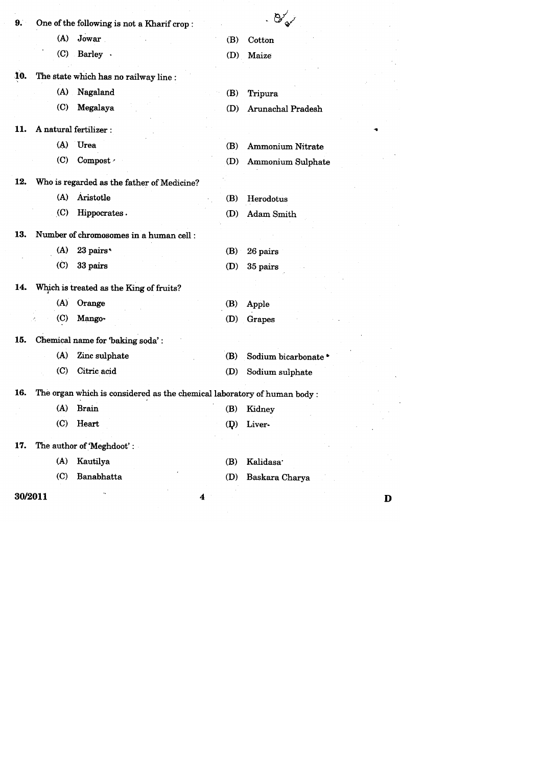|         |                    |                                                                          |              | $\cdot$ $\mathcal{B}_{\mathcal{A}'}^{\vee}$ |   |
|---------|--------------------|--------------------------------------------------------------------------|--------------|---------------------------------------------|---|
| 9.      |                    | One of the following is not a Kharif crop:                               |              |                                             |   |
|         | (A)                | Jowar                                                                    | (B)          | Cotton                                      |   |
|         | $\left( 0 \right)$ | Barley .                                                                 | (D)          | Maize                                       |   |
| 10.     |                    | The state which has no railway line :                                    |              |                                             |   |
|         | (A)                | Nagaland                                                                 | (B)          | Tripura                                     |   |
|         | $\left( $          | Megalaya                                                                 | (D)          | Arunachal Pradesh                           |   |
|         |                    |                                                                          |              |                                             |   |
| 11.     |                    | A natural fertilizer :                                                   |              |                                             |   |
|         | (A)                | Urea                                                                     | (B)          | <b>Ammonium Nitrate</b>                     |   |
|         | (C)                | Compost /                                                                | (D)          | <b>Ammonium Sulphate</b>                    |   |
| 12.     |                    | Who is regarded as the father of Medicine?                               |              |                                             |   |
|         | (A)                | Aristotle                                                                | (B)          | Herodotus                                   |   |
|         | (C)                | Hippocrates.                                                             | (D)          | Adam Smith                                  |   |
| 13.     |                    | Number of chromosomes in a human cell :                                  |              |                                             |   |
|         |                    |                                                                          |              |                                             |   |
|         | (A)                | 23 pairs*                                                                | (B)          | 26 pairs                                    |   |
|         | $\rm (C)$          | 33 pairs                                                                 | (D)          | 35 pairs                                    |   |
| 14.     |                    | Which is treated as the King of fruits?                                  |              |                                             |   |
|         | (A)                | Orange                                                                   | (B)          | Apple                                       |   |
|         | $\left( $          | Mango-                                                                   | (D)          | Grapes                                      |   |
| 15.     |                    | Chemical name for 'baking soda':                                         |              |                                             |   |
|         | (A)                | Zinc sulphate                                                            | (B)          | Sodium bicarbonate *                        |   |
|         | $\left( $          | Citric acid                                                              | (D)          | Sodium sulphate                             |   |
|         |                    |                                                                          |              |                                             |   |
| 16.     |                    | The organ which is considered as the chemical laboratory of human body : |              |                                             |   |
|         |                    | (A) Brain                                                                |              | (B) Kidney                                  |   |
|         | (C)                | Heart                                                                    | $\mathbf{p}$ | Liver-                                      |   |
| 17.     |                    | The author of 'Meghdoot':                                                |              |                                             |   |
|         | (A)                | Kautilya                                                                 | (B)          | Kalidasa <sup>.</sup>                       |   |
|         | (C)                | Banabhatta                                                               | (D)          | Baskara Charya                              |   |
| 30/2011 |                    | 4                                                                        |              |                                             | D |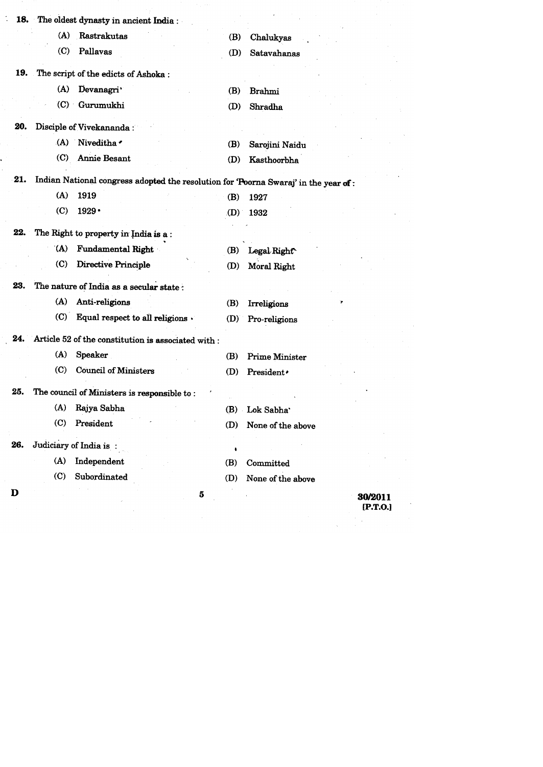|     |                             | 18. The oldest dynasty in ancient India:                |     |                                                                                     |  |
|-----|-----------------------------|---------------------------------------------------------|-----|-------------------------------------------------------------------------------------|--|
|     | (A)                         | Rastrakutas                                             | (B) | Chalukyas                                                                           |  |
|     | $\left($ C                  | Pallavas                                                | (D) | Satavahanas                                                                         |  |
|     |                             | 19. The script of the edicts of Ashoka:                 |     |                                                                                     |  |
|     | (A)                         | Devanagri'                                              | (B) | <b>Brahmi</b>                                                                       |  |
|     |                             | (C) Gurumukhi                                           | (D) | Shradha                                                                             |  |
| 20. |                             | Disciple of Vivekananda:                                |     |                                                                                     |  |
|     |                             | (A) Niveditha                                           | (B) | Sarojini Naidu                                                                      |  |
|     | (C)                         | Annie Besant                                            | (D) | Kasthoorbha                                                                         |  |
| 21. |                             |                                                         |     | Indian National congress adopted the resolution for 'Poorna Swaraj' in the year of: |  |
|     | (A)                         | 1919                                                    | (B) | 1927                                                                                |  |
|     | (C)                         | 1929 •                                                  |     | $(D)$ 1932                                                                          |  |
| 22. |                             | The Right to property in India is a:                    |     |                                                                                     |  |
|     | (A)                         | <b>Fundamental Right</b>                                | (B) | Legal Right                                                                         |  |
|     | $\left( $                   | Directive Principle                                     | (D) | Moral Right                                                                         |  |
| 23. |                             | The nature of India as a secular state :                |     |                                                                                     |  |
|     | (A)                         | Anti-religions                                          | (B) | Irreligions                                                                         |  |
|     | (C)                         | Equal respect to all religions .                        | (D) | Pro-religions                                                                       |  |
|     |                             | 24. Article 52 of the constitution is associated with : |     |                                                                                     |  |
|     | (A)                         | <b>Speaker</b>                                          | (B) | Prime Minister                                                                      |  |
|     | $\left( \mathbf{C} \right)$ | <b>Council of Ministers</b>                             | (D) | President.                                                                          |  |
| 25. |                             | The council of Ministers is responsible to:             |     |                                                                                     |  |
|     |                             | (A) Rajya Sabha                                         | (B) | Lok Sabha                                                                           |  |
|     | (C)                         | President                                               | (D) | None of the above                                                                   |  |
| 26. |                             | Judiciary of India is:                                  |     |                                                                                     |  |
|     | (A)                         | Independent                                             | (B) | Committed                                                                           |  |
|     | (C)                         | Subordinated                                            | (D) | None of the above                                                                   |  |
| D   |                             |                                                         | 5   | 30/2011                                                                             |  |
|     |                             |                                                         |     | [P.T.O.]                                                                            |  |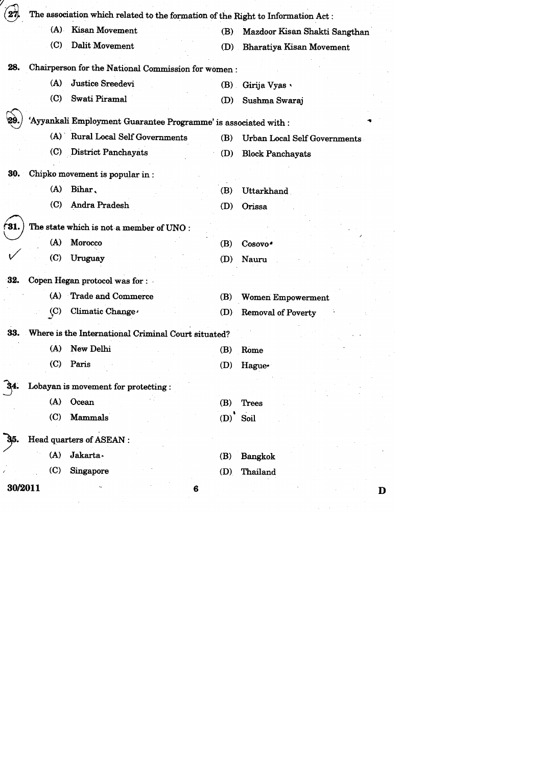|         |                    | The association which related to the formation of the Right to Information Act: |                  |                                     |
|---------|--------------------|---------------------------------------------------------------------------------|------------------|-------------------------------------|
|         | (A)                | <b>Kisan Movement</b>                                                           | (B)              | Mazdoor Kisan Shakti Sangthan       |
|         | $\left( 0 \right)$ | Dalit Movement                                                                  |                  | (D) Bharatiya Kisan Movement        |
| 28.     |                    | Chairperson for the National Commission for women:                              |                  |                                     |
|         | (A)                | Justice Sreedevi                                                                | (B)              | Girija Vyas                         |
|         | (C)                | Swati Piramal                                                                   | (D)              | Sushma Swaraj                       |
|         |                    | 'Ayyankali Employment Guarantee Programme' is associated with :                 |                  |                                     |
|         |                    | (A) Rural Local Self Governments                                                | (B)              | <b>Urban Local Self Governments</b> |
|         |                    | (C) District Panchayats                                                         | (D)              | <b>Block Panchayats</b>             |
| 30.     |                    | Chipko movement is popular in:                                                  |                  |                                     |
|         | (A)                | Bihar,                                                                          | (B)              | Uttarkhand                          |
|         | (C)                | Andra Pradesh                                                                   | (D)              | Orissa                              |
| 31.     |                    | The state which is not a member of UNO:                                         |                  |                                     |
|         | (A)                | Morocco                                                                         | (B)              | Cosovo <sup>*</sup>                 |
|         | (C)                | Uruguay                                                                         | (D)              | Nauru                               |
| 32.     |                    | Copen Hegan protocol was for :                                                  |                  |                                     |
|         | (A)                | Trade and Commerce                                                              | (B)              | <b>Women Empowerment</b>            |
|         | $\left( $          | Climatic Change                                                                 | (D)              | <b>Removal of Poverty</b>           |
|         |                    | 33. Where is the International Criminal Court situated?                         |                  |                                     |
|         | (A)                | New Delhi                                                                       | (B)              | Rome                                |
|         | (C)                | Paris                                                                           | (D)              | Hague-                              |
|         |                    | Lobayan is movement for protecting:                                             |                  |                                     |
|         |                    | (A) Ocean                                                                       | (B)              | Trees                               |
|         | (C)                | Mammals                                                                         | $(D)^{\text{-}}$ | Soil                                |
|         |                    | Head quarters of ASEAN :                                                        |                  |                                     |
|         | (A)                | Jakarta.                                                                        | (B)              | <b>Bangkok</b>                      |
|         | (C)                | Singapore                                                                       | (D)              | Thailand                            |
| 30/2011 |                    |                                                                                 | 6                | D                                   |
|         |                    |                                                                                 |                  |                                     |
|         |                    |                                                                                 |                  |                                     |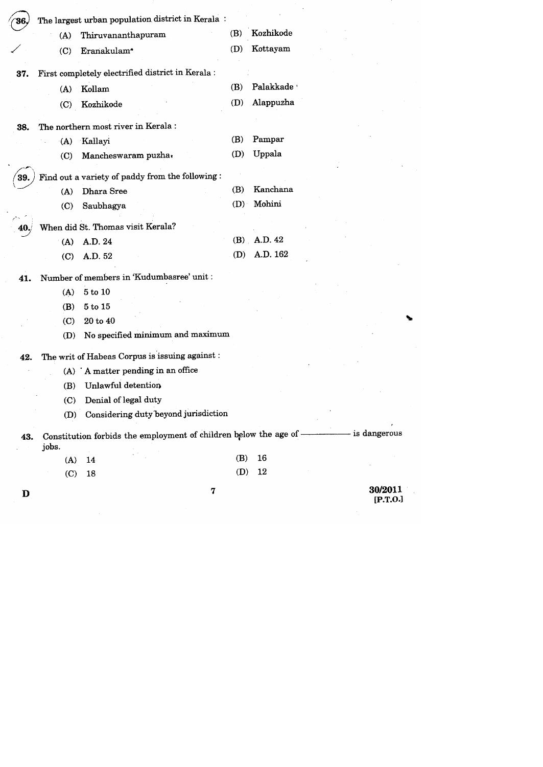| 36.  |            | The largest urban population district in Kerala:                   |     |                           |                |
|------|------------|--------------------------------------------------------------------|-----|---------------------------|----------------|
|      | (A)        | Thiruvananthapuram                                                 | (B) | Kozhikode                 |                |
|      | (C)        | Eranakulam <sup>*</sup>                                            | (D) | Kottayam                  |                |
| 37.  |            | First completely electrified district in Kerala:                   |     |                           |                |
|      | (A)        | Kollam                                                             | (B) | Palakkade *               |                |
|      | (C)        | Kozhikode                                                          | (D) | Alappuzha                 |                |
| 38.  |            | The northern most river in Kerala :                                |     |                           |                |
|      | (A)        | Kallayi                                                            | (B) | Pampar                    |                |
|      | $\left($ C | Mancheswaram puzha.                                                | (D) | Uppala                    |                |
|      |            |                                                                    |     |                           |                |
| 39.  | (A)        | Find out a variety of paddy from the following:<br>Dhara Sree      | (B) | Kanchana                  |                |
|      | (C)        | Saubhagya                                                          | (D) | Mohini                    |                |
|      |            |                                                                    |     |                           |                |
| 40./ |            | When did St. Thomas visit Kerala?                                  |     |                           |                |
|      | (A)        | A.D. 24                                                            |     | $(B)$ A.D. 42<br>A.D. 162 |                |
|      | (C)        | A.D. 52                                                            | (D) |                           |                |
| 41.  |            | Number of members in 'Kudumbasree' unit :                          |     |                           |                |
|      | (A)        | 5 to 10                                                            |     |                           |                |
|      | (B)        | 5 to 15                                                            |     |                           |                |
|      | (C)        | 20 to 40                                                           |     |                           |                |
|      | (D)        | No specified minimum and maximum                                   |     |                           |                |
| 42.  |            | The writ of Habeas Corpus is issuing against :                     |     |                           |                |
|      |            | $(A)$ 'A matter pending in an office                               |     |                           |                |
|      | (B)        | Unlawful detention                                                 |     |                           |                |
|      |            | (C) Denial of legal duty                                           |     |                           |                |
|      | (D)        | Considering duty beyond jurisdiction                               |     |                           |                |
| 43.  | jobs.      | Constitution forbids the employment of children below the age of - |     |                           | - is dangerous |
|      | (A)        | 14                                                                 | (B) | 16                        |                |
|      | (C)        | 18                                                                 |     | $(D)$ 12                  |                |
|      |            |                                                                    |     |                           |                |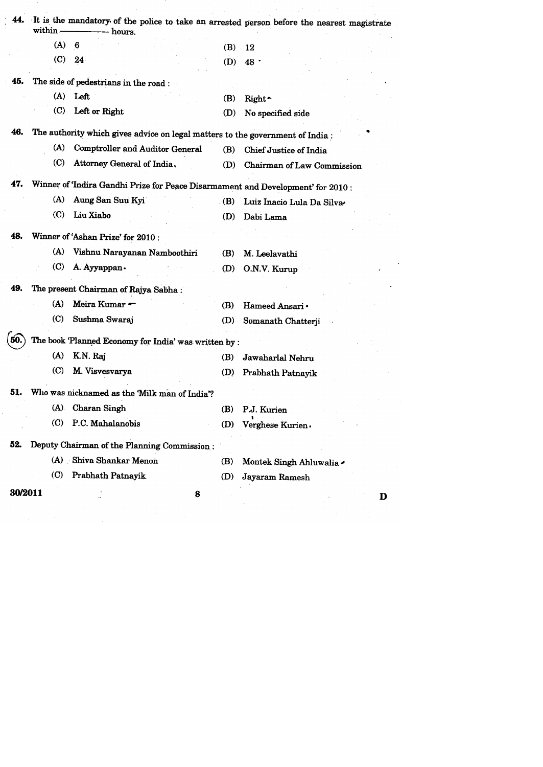| 44. | within                      | - hours.                                                                        |             | It is the mandatory of the police to take an arrested person before the nearest magistrate |
|-----|-----------------------------|---------------------------------------------------------------------------------|-------------|--------------------------------------------------------------------------------------------|
|     | (A)                         | 6                                                                               | (B)         | 12                                                                                         |
|     | (C)                         | 24                                                                              | (D)         | 48 .                                                                                       |
| 45. |                             | The side of pedestrians in the road :                                           |             |                                                                                            |
|     |                             | $(A)$ Left                                                                      | (B)         | Right ~                                                                                    |
|     | (C)                         | Left or Right                                                                   | (D)         | No specified side                                                                          |
| 46. |                             | The authority which gives advice on legal matters to the government of India:   |             |                                                                                            |
|     | (A)                         | <b>Comptroller and Auditor General</b>                                          | (B)         | Chief Justice of India                                                                     |
|     | (C)                         | Attorney General of India,                                                      | (D)         | Chairman of Law Commission                                                                 |
| 47. |                             | Winner of 'Indira Gandhi Prize for Peace Disarmament and Development' for 2010: |             |                                                                                            |
|     | (A)                         | Aung San Suu Kyi                                                                | $\cdot$ (B) | Luiz Inacio Lula Da Silva                                                                  |
|     | $\left( \text{C} \right)$   | Liu Xiabo                                                                       | (D)         | Dabi Lama                                                                                  |
| 48. |                             | Winner of 'Ashan Prize' for 2010:                                               |             |                                                                                            |
|     | (A)                         | Vishnu Narayanan Namboothiri                                                    | (B)         | M. Leelavathi                                                                              |
|     | (C)                         | A. Ayyappan .                                                                   | (D)         | O.N.V. Kurup                                                                               |
| 49. |                             | The present Chairman of Rajya Sabha:                                            |             |                                                                                            |
|     | (A)                         | Meira Kumar                                                                     | (B)         | Hameed Ansari ·                                                                            |
|     | (C)                         | Sushma Swaraj                                                                   | (D)         | Somanath Chatterji                                                                         |
| 50. |                             | The book 'Planned Economy for India' was written by :                           |             |                                                                                            |
|     | (A)                         | K.N. Raj                                                                        | (B)         | Jawaharlal Nehru                                                                           |
|     | (C)                         | M. Visvesvarya                                                                  | (D)         | Prabhath Patnayik                                                                          |
| 51. |                             | Who was nicknamed as the Milk man of India?                                     |             |                                                                                            |
|     |                             | (A) Charan Singh                                                                | (B)         | P.J. Kurien                                                                                |
|     | (C)                         | P.C. Mahalanobis                                                                | (D)         | Verghese Kurien.                                                                           |
| 52. |                             | Deputy Chairman of the Planning Commission:                                     |             |                                                                                            |
|     |                             | (A) Shiva Shankar Menon                                                         | (B)         | Montek Singh Ahluwalia                                                                     |
|     | $\left( \mathbf{C} \right)$ | Prabhath Patnayik                                                               | (D)         | Jayaram Ramesh                                                                             |
|     | 30/2011                     |                                                                                 | 8           | D                                                                                          |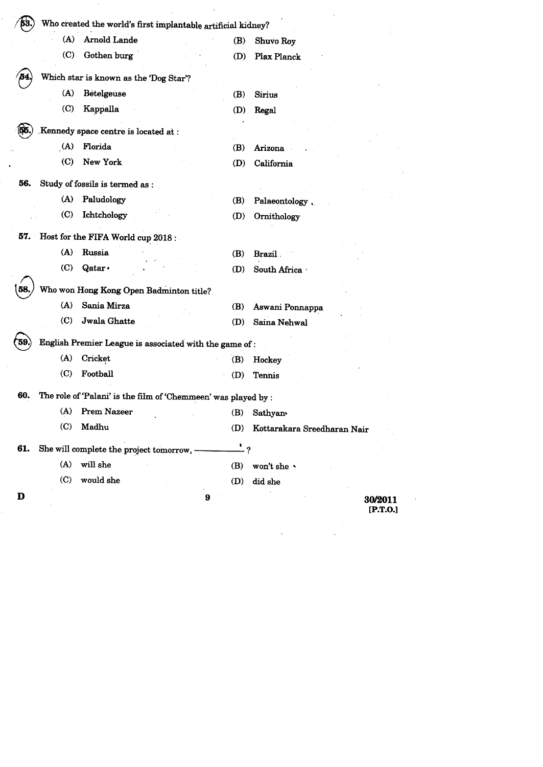|      | (A)<br>Arnold Lande                                            | (B)             | Shuvo Roy                   |
|------|----------------------------------------------------------------|-----------------|-----------------------------|
|      | $\left( \mathrm{C} \right)$<br>Gothen burg                     | (D)             | Plax Planck                 |
| 54.  | Which star is known as the 'Dog Star'?                         |                 |                             |
|      | (A)<br>Betelgeuse                                              | (B)             | Sirius                      |
|      | $\left( \mathbf{C}\right)$<br>Kappalla                         | (D)             | Regal                       |
| 155. | Kennedy space centre is located at :                           |                 |                             |
|      | (A)<br>Florida                                                 | (B)             | Arizona                     |
|      | (C)<br>New York                                                | (D)             | California                  |
| 56.  | Study of fossils is termed as :                                |                 |                             |
|      | (A)<br>Paludology                                              | (B)             | Palaeontology,              |
|      | $\left( \mathbf{C}\right)$<br>Ichtchology                      | (D)             | Ornithology                 |
|      | 57. Host for the FIFA World cup 2018:                          |                 |                             |
|      | (A)<br>Russia                                                  | (B)             | Brazil.                     |
|      | (C)<br>Qatar ·                                                 | (D)             | South Africa                |
| 58.  | Who won Hong Kong Open Badminton title?                        |                 |                             |
|      | Sania Mirza<br>(A)                                             | (B)             | Aswani Ponnappa             |
|      | Jwala Ghatte<br>$\left( \mathbf{C}\right)$                     | (D)             | Saina Nehwal                |
|      | English Premier League is associated with the game of:         |                 |                             |
|      | (A)<br>Cricket                                                 | (B)             | Hockey                      |
|      | (C)<br>Football                                                | (D)             | Tennis                      |
| 60.  | The role of 'Palani' is the film of 'Chemmeen' was played by : |                 |                             |
|      | <b>Prem Nazeer</b><br>(A)                                      | (B)             | <b>Sathyan</b>              |
|      | Madhu<br>(C)                                                   | (D)             | Kottarakara Sreedharan Nair |
| 61.  | She will complete the project tomorrow, -                      | $\frac{1}{2}$ ? |                             |
|      | (A)<br>will she                                                | (B)             | won't she                   |
|      | (C)<br>would she                                               | (D)             | did she                     |

 $\label{eq:2.1} \mathcal{L}(\mathcal{L}^{\mathcal{L}}_{\mathcal{L}}(\mathcal{L}^{\mathcal{L}}_{\mathcal{L}})) = \mathcal{L}(\mathcal{L}^{\mathcal{L}}_{\mathcal{L}}(\mathcal{L}^{\mathcal{L}}_{\mathcal{L}})) = \mathcal{L}(\mathcal{L}^{\mathcal{L}}_{\mathcal{L}}(\mathcal{L}^{\mathcal{L}}_{\mathcal{L}})) = \mathcal{L}(\mathcal{L}^{\mathcal{L}}_{\mathcal{L}}(\mathcal{L}^{\mathcal{L}}_{\mathcal{L}})) = \mathcal{L}(\mathcal{L}^{\mathcal{L}}$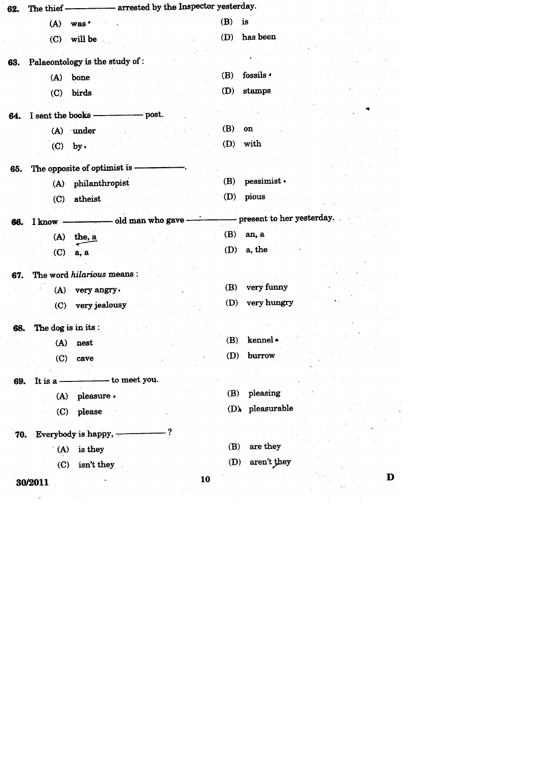| 62. | The thief -------------- arrested by the Inspector yesterday. |                             |
|-----|---------------------------------------------------------------|-----------------------------|
|     | (A)<br>was <sup>*</sup>                                       | (B)<br>is                   |
|     | (C) will be                                                   | has been<br>(D)             |
|     | Palaeontology is the study of :                               |                             |
| 63. | bone                                                          | fossils <<br>(B)            |
|     | (A)                                                           | stamps<br>(D)               |
|     | (C)<br>birds                                                  |                             |
| 64. | I sent the books --<br>– post.                                |                             |
|     | (A) under                                                     | (B)<br>on                   |
|     | (C)<br>$by \cdot$                                             | (D) with                    |
|     | 65. The opposite of optimist is --                            |                             |
|     | philanthropist<br>(A)                                         | pessimist ·<br>(B)          |
|     | atheist<br>(C)                                                | pious<br>(D)                |
|     |                                                               |                             |
| 66. | I know - old man who gave -                                   | - present to her yesterday. |
|     | $(A)$ the, a                                                  | (B)<br>an, a                |
|     | (C)<br>a, a                                                   | a, the<br>(D)               |
| 67. | The word hilarious means:                                     |                             |
|     | (A) very angry.                                               | very funny<br>(B)           |
|     | very jealousy<br>(C)                                          | very hungry<br>(D)          |
|     |                                                               |                             |
| 68. | The dog is in its:                                            | kennel ·<br>(B)             |
|     | (A)<br>nest                                                   | burrow<br>(D)               |
|     | (C)<br>cave                                                   |                             |
| 69. | It is a ——————— to meet you.                                  |                             |
|     | (A) pleasure $\cdot$                                          | pleasing<br>(B)             |
|     | (C) please                                                    | $(D)$ pleasurable           |
|     | 70. Everybody is happy, -                                     |                             |
|     | $(A)$ is they                                                 | are they<br>(B)             |
|     | isn't they<br>(C)                                             | (D) aren't they             |
|     |                                                               | D<br>10                     |
|     | 30/2011                                                       |                             |
|     |                                                               |                             |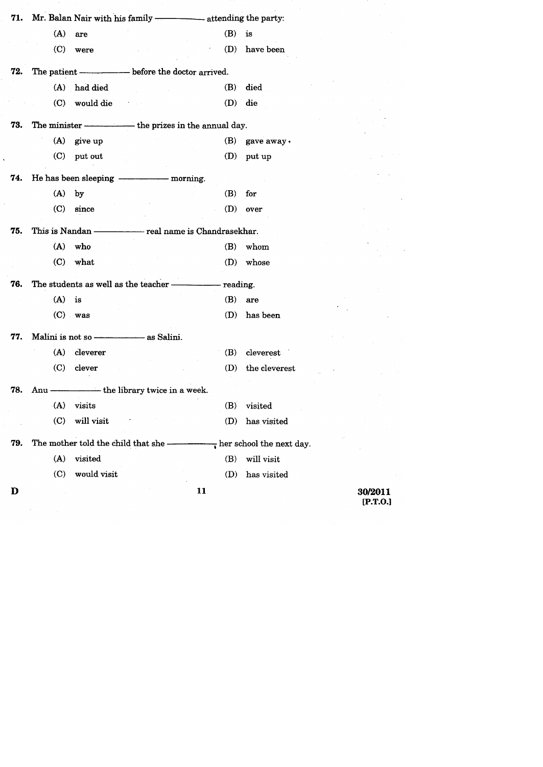|     | (A)                         | are                                                                       | (B) | is               |
|-----|-----------------------------|---------------------------------------------------------------------------|-----|------------------|
|     | $\left( \mathrm{C} \right)$ | were                                                                      | (D) | have been        |
| 72. |                             | The patient ————————— before the doctor arrived.                          |     |                  |
|     |                             | (A) had died                                                              | (B) | died             |
|     |                             | (C) would die                                                             | (D) | die              |
| 73. |                             | The minister - the prizes in the annual day.                              |     |                  |
|     |                             | $(A)$ give up                                                             |     | $(B)$ gave away. |
|     |                             | $(C)$ put out                                                             | (D) | put up           |
| 74. |                             |                                                                           |     |                  |
|     | (A)                         | by                                                                        | (B) | for              |
|     | $\left( \mathrm{C} \right)$ | since                                                                     | (D) | over             |
| 75. |                             |                                                                           |     |                  |
|     | (A)                         | who                                                                       | (B) | whom             |
|     | (C)                         | what                                                                      |     | (D) whose        |
| 76. |                             |                                                                           |     |                  |
|     | (A)                         | is                                                                        |     | $(B)$ are        |
|     |                             | $(C)$ was                                                                 | (D) | has been         |
| 77. |                             |                                                                           |     |                  |
|     |                             | (A) cleverer                                                              | (B) | cleverest        |
|     | (C)                         | clever                                                                    | (D) | the cleverest    |
| 78. |                             | Anu ———————————the library twice in a week.                               |     |                  |
|     |                             | $(A)$ visits                                                              |     | (B) visited      |
|     | (C)                         | will visit                                                                | (D) | has visited      |
| 79. |                             | The mother told the child that she $\frac{1}{x}$ her school the next day. |     |                  |
|     | (A)                         | visited                                                                   | (B) | will visit       |
|     | (C)                         | would visit                                                               | (D) | has visited      |
| D   |                             |                                                                           | 11  |                  |
|     |                             |                                                                           |     |                  |

Ĩ,

 $\bar{\mathbf{x}}$ 

 $\bar{z}$ 

 $\sim 10^{-10}$ 

 $\mathcal{L} = \mathcal{L} \mathcal{L}$ 

30/2011<br>[P.T.O.]

l,

 $\ddot{\phantom{0}}$  $\bar{z}$ 

 $\bar{z}$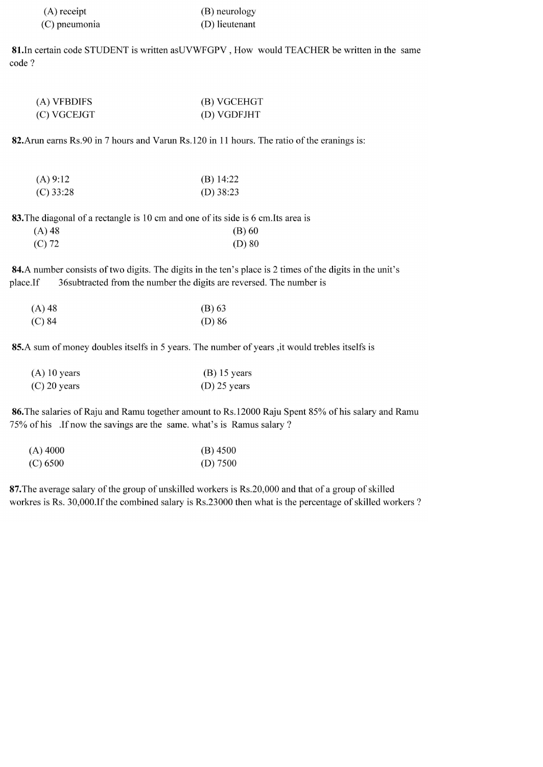| $(A)$ receipt | (B) neurology  |
|---------------|----------------|
| (C) pneumonia | (D) lieutenant |

81. In certain code STUDENT is written asUVWFGPV, How would TEACHER be written in the same code ?

| (A) VFBDIFS | (B) VGCEHGT |
|-------------|-------------|
| (C) VGCEJGT | (D) VGDFJHT |

82. Arun earns Rs.90 in 7 hours and Varun Rs.120 in 11 hours. The ratio of the eranings is:

| (A) 9:12    | (B) $14:22$ |
|-------------|-------------|
| $(C)$ 33:28 | (D) $38:23$ |

83. The diagonal of a rectangle is 10 cm and one of its side is 6 cm. Its area is

| $(A)$ 48 | $(B)$ 60 |
|----------|----------|
| $(C)$ 72 | $(D)$ 80 |

84.A number consists of two digits. The digits in the ten's place is 2 times of the digits in the unit's 36 subtracted from the number the digits are reversed. The number is place.If

| $(A)$ 48 | $(B)$ 63 |
|----------|----------|
| $(C)$ 84 | $(D)$ 86 |

85.A sum of money doubles itselfs in 5 years. The number of years, it would trebles itselfs is

| $(A)$ 10 years | $(B)$ 15 years |
|----------------|----------------|
| $(C)$ 20 years | $(D)$ 25 years |

86. The salaries of Raju and Ramu together amount to Rs. 12000 Raju Spent 85% of his salary and Ramu 75% of his .If now the savings are the same. what's is Ramus salary ?

| $(A)$ 4000 | $(B)$ 4500 |
|------------|------------|
| (C) 6500   | (D) $7500$ |

87. The average salary of the group of unskilled workers is Rs.20,000 and that of a group of skilled workres is Rs. 30,000.If the combined salary is Rs.23000 then what is the percentage of skilled workers ?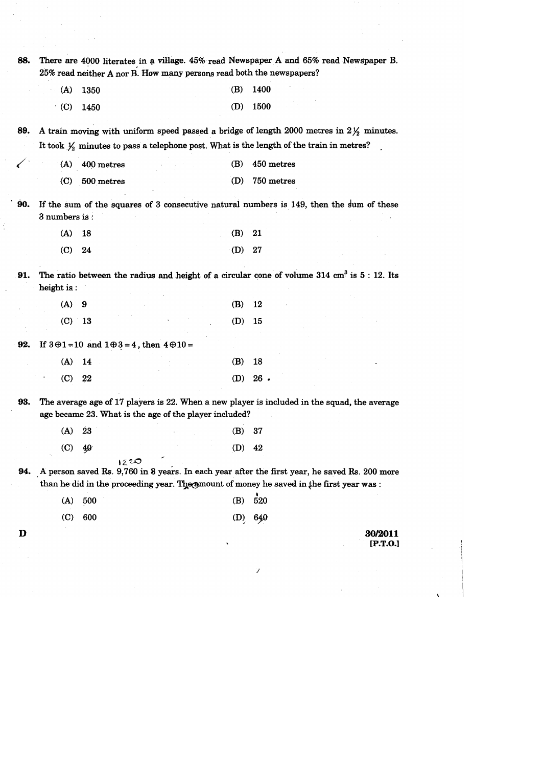| 88. |                             |                                                                  | 25% read neither A nor B. How many persons read both the newspapers? |     | There are 4000 literates in a village. 45% read Newspaper A and 65% read Newspaper B.                                                                                                     |
|-----|-----------------------------|------------------------------------------------------------------|----------------------------------------------------------------------|-----|-------------------------------------------------------------------------------------------------------------------------------------------------------------------------------------------|
|     | (A)                         | 1350                                                             |                                                                      | (B) | 1400                                                                                                                                                                                      |
|     | (C)                         | 1450                                                             |                                                                      | (D) | 1500                                                                                                                                                                                      |
| 89. |                             |                                                                  |                                                                      |     | A train moving with uniform speed passed a bridge of length 2000 metres in $2\frac{1}{2}$ minutes.                                                                                        |
|     |                             |                                                                  |                                                                      |     | It took $\frac{1}{2}$ minutes to pass a telephone post. What is the length of the train in metres?                                                                                        |
|     | (A)                         | 400 metres                                                       |                                                                      | (B) | 450 metres                                                                                                                                                                                |
|     | (C)                         | 500 metres                                                       |                                                                      | (D) | 750 metres                                                                                                                                                                                |
| 90. | 3 numbers is:               |                                                                  |                                                                      |     | If the sum of the squares of 3 consecutive natural numbers is 149, then the sum of these                                                                                                  |
|     | (A)                         | 18                                                               |                                                                      | (B) | 21                                                                                                                                                                                        |
|     | $\left( \mathbf{C} \right)$ | 24                                                               |                                                                      | (D) | 27                                                                                                                                                                                        |
| 91. |                             |                                                                  |                                                                      |     | The ratio between the radius and height of a circular cone of volume 314 $\text{cm}^3$ is 5 : 12. Its                                                                                     |
|     | height is:                  |                                                                  |                                                                      |     |                                                                                                                                                                                           |
|     | (A)                         | 9                                                                |                                                                      | (B) | 12                                                                                                                                                                                        |
|     | (C)                         | $-13$                                                            |                                                                      | (D) | 15                                                                                                                                                                                        |
| 92. |                             | If $3 \oplus 1 = 10$ and $1 \oplus 3 = 4$ , then $4 \oplus 10 =$ |                                                                      |     |                                                                                                                                                                                           |
|     | (A)                         | 14                                                               |                                                                      | (B) | 18                                                                                                                                                                                        |
|     | $\left( 0 \right)$          | 22                                                               |                                                                      |     | $(D) 26$ .                                                                                                                                                                                |
|     |                             |                                                                  |                                                                      |     |                                                                                                                                                                                           |
| 93. |                             |                                                                  | age became 23. What is the age of the player included?               |     | The average age of 17 players is 22. When a new player is included in the squad, the average                                                                                              |
|     | (A)                         | 23                                                               |                                                                      | (B) | 37                                                                                                                                                                                        |
|     | (C)                         | 40                                                               |                                                                      | (D) | 42                                                                                                                                                                                        |
| 94. |                             | 1220                                                             |                                                                      |     | A person saved Rs. 9,760 in 8 years. In each year after the first year, he saved Rs. 200 more<br>than he did in the proceeding year. The genount of money he saved in the first year was: |
|     | (A)                         | 500                                                              |                                                                      | (B) | 520                                                                                                                                                                                       |
|     |                             |                                                                  |                                                                      |     |                                                                                                                                                                                           |
| D   | (C)                         | 600                                                              |                                                                      | (D) | 640<br>30/2011<br>$[P.T.0.]$                                                                                                                                                              |
|     |                             |                                                                  |                                                                      |     |                                                                                                                                                                                           |
|     |                             |                                                                  |                                                                      |     | V                                                                                                                                                                                         |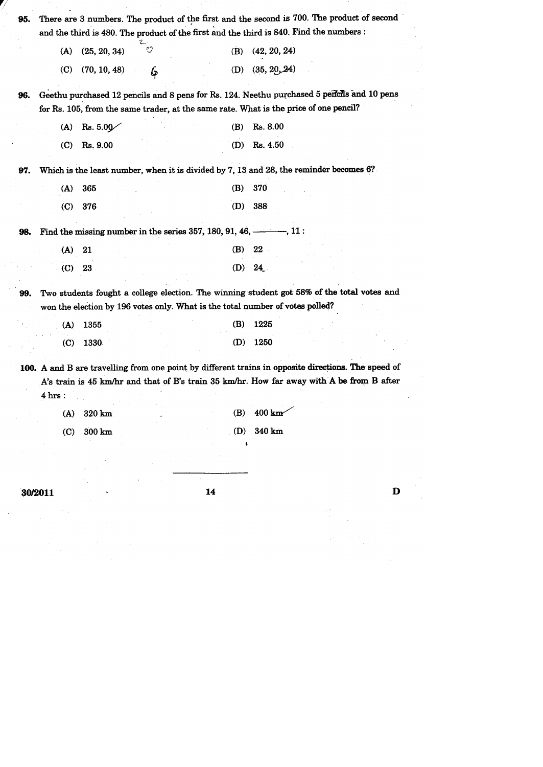| (A)                             | (25, 20, 34)                                                                    | ೪ | (B)        | (42, 20, 24)                                                                                                                                                                                                         |
|---------------------------------|---------------------------------------------------------------------------------|---|------------|----------------------------------------------------------------------------------------------------------------------------------------------------------------------------------------------------------------------|
| (C)                             | (70, 10, 48)                                                                    | Ģ |            | (D) $(35, 20, 24)$                                                                                                                                                                                                   |
| 96.                             |                                                                                 |   |            | Geethu purchased 12 pencils and 8 pens for Rs. 124. Neethu purchased 5 pericils and 10 pens<br>for Rs. 105, from the same trader, at the same rate. What is the price of one pencil?                                 |
|                                 | (A) Rs. $5.00\degree$                                                           |   | (B)        | Rs. 8.00                                                                                                                                                                                                             |
| $\left( 0\right)$               | Rs. 9.00                                                                        |   | (D)        | Rs. 4.50                                                                                                                                                                                                             |
| 97.                             |                                                                                 |   |            | Which is the least number, when it is divided by 7, 13 and 28, the reminder becomes 6?                                                                                                                               |
| (A)                             | 365                                                                             |   | (B)        | 370                                                                                                                                                                                                                  |
| $\left($ C $\right)$            | 376                                                                             |   | (D)        | 388                                                                                                                                                                                                                  |
| 98.                             | Find the missing number in the series 357, 180, 91, 46, $\longrightarrow$ , 11: |   |            |                                                                                                                                                                                                                      |
| (A)                             | 21                                                                              |   | (B)        | 22                                                                                                                                                                                                                   |
| $\left( \mathbf{C} \right)$     | 23                                                                              |   | (D)        | 24                                                                                                                                                                                                                   |
| 99.                             |                                                                                 |   |            | Two students fought a college election. The winning student got 58% of the total votes and<br>won the election by 196 votes only. What is the total number of votes polled?                                          |
| (A)                             | 1355                                                                            |   | (B)        | 1225                                                                                                                                                                                                                 |
| $\left( \mathbf{C}\right)$      | 1330                                                                            |   | (D)        | 1250                                                                                                                                                                                                                 |
| $4 \text{ hrs}$ :<br>(A)<br>(C) | 320 km<br>$300 \text{ km}$                                                      |   | (B)<br>(D) | 100. A and B are travelling from one point by different trains in opposite directions. The speed of<br>A's train is 45 km/hr and that of B's train 35 km/hr. How far away with A be from B after<br>400 km<br>340 km |
|                                 |                                                                                 |   |            |                                                                                                                                                                                                                      |

 $\label{eq:2} \frac{1}{2} \sum_{i=1}^n \frac{1}{2} \sum_{j=1}^n \frac{1}{2} \sum_{j=1}^n \frac{1}{2} \sum_{j=1}^n \frac{1}{2} \sum_{j=1}^n \frac{1}{2} \sum_{j=1}^n \frac{1}{2} \sum_{j=1}^n \frac{1}{2} \sum_{j=1}^n \frac{1}{2} \sum_{j=1}^n \frac{1}{2} \sum_{j=1}^n \frac{1}{2} \sum_{j=1}^n \frac{1}{2} \sum_{j=1}^n \frac{1}{2} \sum_{j=1}^n \frac{1}{$ 

 $\frac{1}{2}$ 

 $\begin{aligned} \frac{\partial}{\partial t} & = \frac{1}{2} \left( \frac{\partial}{\partial t} \right) \frac{\partial}{\partial t} \frac{\partial}{\partial t} \frac{\partial}{\partial t} \frac{\partial}{\partial t} \frac{\partial}{\partial t} \frac{\partial}{\partial t} \frac{\partial}{\partial t} \frac{\partial}{\partial t} \frac{\partial}{\partial t} \frac{\partial}{\partial t} \frac{\partial}{\partial t} \frac{\partial}{\partial t} \frac{\partial}{\partial t} \frac{\partial}{\partial t} \frac{\partial}{\partial t} \frac{\partial}{\partial t} \frac{\partial}{\partial t} \frac{\partial}{\partial t} \frac{\partial}{\partial t} \frac{\partial}{\partial t} \frac$ 

 $\frac{1}{2} \frac{1}{2} \frac{1}{2}$